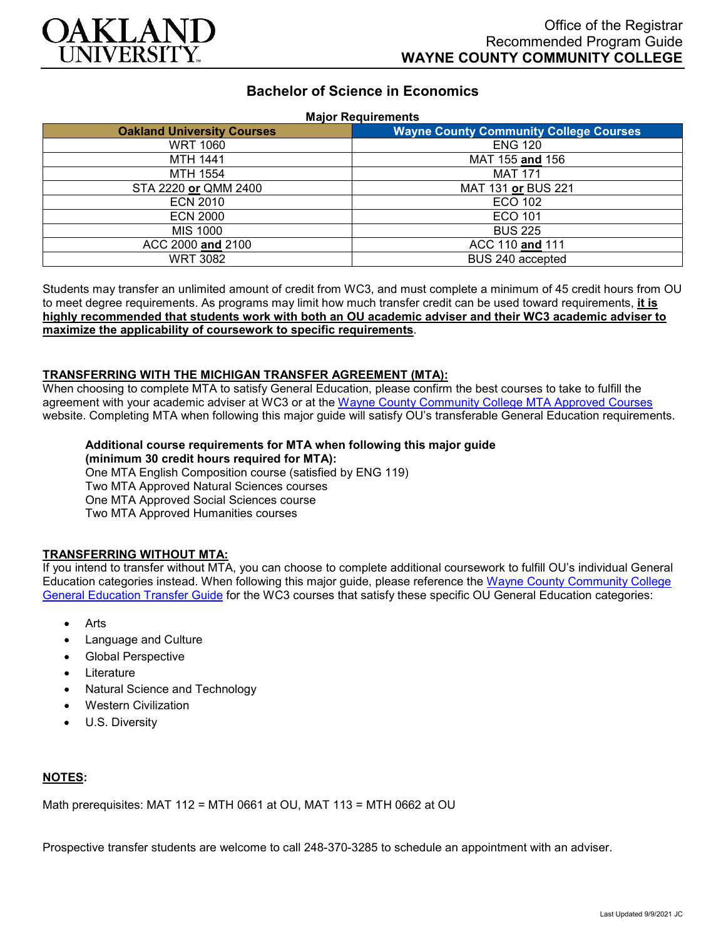

# **Bachelor of Science in Economics**

#### **Major Requirements**

| <b>Oakland University Courses</b> | <b>Wayne County Community College Courses</b> |
|-----------------------------------|-----------------------------------------------|
| <b>WRT 1060</b>                   | <b>ENG 120</b>                                |
| <b>MTH 1441</b>                   | MAT 155 and 156                               |
| MTH 1554                          | <b>MAT 171</b>                                |
| STA 2220 or QMM 2400              | MAT 131 or BUS 221                            |
| <b>ECN 2010</b>                   | <b>ECO 102</b>                                |
| <b>ECN 2000</b>                   | ECO 101                                       |
| <b>MIS 1000</b>                   | <b>BUS 225</b>                                |
| ACC 2000 and 2100                 | ACC 110 and 111                               |
| <b>WRT 3082</b>                   | BUS 240 accepted                              |

Students may transfer an unlimited amount of credit from WC3, and must complete a minimum of 45 credit hours from OU to meet degree requirements. As programs may limit how much transfer credit can be used toward requirements, **it is highly recommended that students work with both an OU academic adviser and their WC3 academic adviser to maximize the applicability of coursework to specific requirements**.

### **TRANSFERRING WITH THE MICHIGAN TRANSFER AGREEMENT (MTA):**

When choosing to complete MTA to satisfy General Education, please confirm the best courses to take to fulfill the agreement with your academic adviser at WC3 or at the Wayne [County Community College](http://www.wcccd.edu/students/pp_transfer_agreement.html) MTA Approved Courses website. Completing MTA when following this major guide will satisfy OU's transferable General Education requirements.

# **Additional course requirements for MTA when following this major guide**

**(minimum 30 credit hours required for MTA):**

One MTA English Composition course (satisfied by ENG 119) Two MTA Approved Natural Sciences courses One MTA Approved Social Sciences course Two MTA Approved Humanities courses

## **TRANSFERRING WITHOUT MTA:**

If you intend to transfer without MTA, you can choose to complete additional coursework to fulfill OU's individual General Education categories instead. When following this major guide, please reference the [Wayne County Community College](https://www.oakland.edu/Assets/Oakland/program-guides/wayne-county-community-college/university-general-education-requirements/Wayne%20Gen%20Ed.pdf)  [General Education Transfer Guide](https://www.oakland.edu/Assets/Oakland/program-guides/wayne-county-community-college/university-general-education-requirements/Wayne%20Gen%20Ed.pdf) for the WC3 courses that satisfy these specific OU General Education categories:

- Arts
- Language and Culture
- Global Perspective
- **Literature**
- Natural Science and Technology
- Western Civilization
- U.S. Diversity

### **NOTES:**

Math prerequisites: MAT 112 = MTH 0661 at OU, MAT 113 = MTH 0662 at OU

Prospective transfer students are welcome to call 248-370-3285 to schedule an appointment with an adviser.